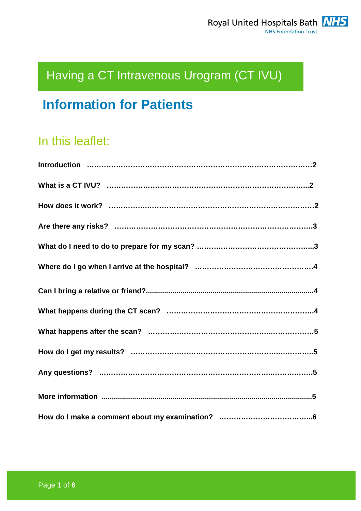# Having a CT Intravenous Urogram (CT IVU)

## **Information for Patients**

## In this leaflet: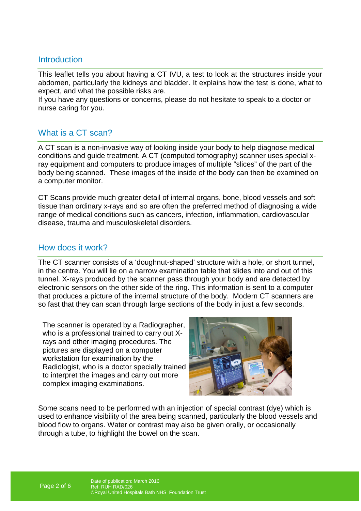## **Introduction**

This leaflet tells you about having a CT IVU, a test to look at the structures inside your abdomen, particularly the kidneys and bladder. It explains how the test is done, what to expect, and what the possible risks are.

If you have any questions or concerns, please do not hesitate to speak to a doctor or nurse caring for you.

## What is a CT scan?

A CT scan is a non-invasive way of looking inside your body to help diagnose medical conditions and guide treatment. A CT (computed tomography) scanner uses special xray equipment and computers to produce images of multiple "slices" of the part of the body being scanned. These images of the inside of the body can then be examined on a computer monitor.

CT Scans provide much greater detail of internal organs, bone, blood vessels and soft tissue than ordinary x-rays and so are often the preferred method of diagnosing a wide range of medical conditions such as cancers, infection, inflammation, cardiovascular disease, trauma and musculoskeletal disorders.

### How does it work?

The CT scanner consists of a 'doughnut-shaped' structure with a hole, or short tunnel, in the centre. You will lie on a narrow examination table that slides into and out of this tunnel. X-rays produced by the scanner pass through your body and are detected by electronic sensors on the other side of the ring. This information is sent to a computer that produces a picture of the internal structure of the body. Modern CT scanners are so fast that they can scan through large sections of the body in just a few seconds.

The scanner is operated by a Radiographer, who is a professional trained to carry out Xrays and other imaging procedures. The pictures are displayed on a computer workstation for examination by the Radiologist, who is a doctor specially trained to interpret the images and carry out more complex imaging examinations.



Some scans need to be performed with an injection of special contrast (dye) which is used to enhance visibility of the area being scanned, particularly the blood vessels and blood flow to organs. Water or contrast may also be given orally, or occasionally through a tube, to highlight the bowel on the scan.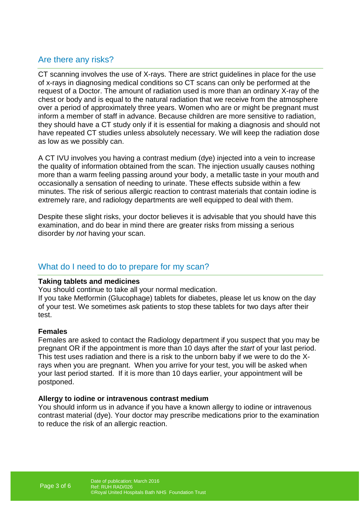## Are there any risks?

CT scanning involves the use of X-rays. There are strict guidelines in place for the use of x-rays in diagnosing medical conditions so CT scans can only be performed at the request of a Doctor. The amount of radiation used is more than an ordinary X-ray of the chest or body and is equal to the natural radiation that we receive from the atmosphere over a period of approximately three years. Women who are or might be pregnant must inform a member of staff in advance. Because children are more sensitive to radiation, they should have a CT study only if it is essential for making a diagnosis and should not have repeated CT studies unless absolutely necessary. We will keep the radiation dose as low as we possibly can.

A CT IVU involves you having a contrast medium (dye) injected into a vein to increase the quality of information obtained from the scan. The injection usually causes nothing more than a warm feeling passing around your body, a metallic taste in your mouth and occasionally a sensation of needing to urinate. These effects subside within a few minutes. The risk of serious allergic reaction to contrast materials that contain iodine is extremely rare, and radiology departments are well equipped to deal with them.

Despite these slight risks, your doctor believes it is advisable that you should have this examination, and do bear in mind there are greater risks from missing a serious disorder by not having your scan.

## What do I need to do to prepare for my scan?

#### **Taking tablets and medicines**

You should continue to take all your normal medication.

If you take Metformin (Glucophage) tablets for diabetes, please let us know on the day of your test. We sometimes ask patients to stop these tablets for two days after their test.

#### **Females**

Females are asked to contact the Radiology department if you suspect that you may be pregnant OR if the appointment is more than 10 days after the start of your last period. This test uses radiation and there is a risk to the unborn baby if we were to do the Xrays when you are pregnant. When you arrive for your test, you will be asked when your last period started. If it is more than 10 days earlier, your appointment will be postponed.

#### **Allergy to iodine or intravenous contrast medium**

You should inform us in advance if you have a known allergy to iodine or intravenous contrast material (dye). Your doctor may prescribe medications prior to the examination to reduce the risk of an allergic reaction.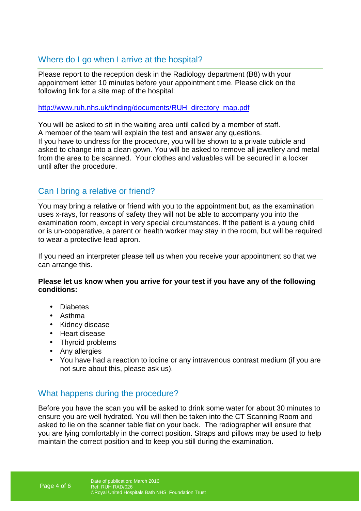## Where do I go when I arrive at the hospital?

Please report to the reception desk in the Radiology department (B8) with your appointment letter 10 minutes before your appointment time. Please click on the following link for a site map of the hospital:

http://www.ruh.nhs.uk/finding/documents/RUH\_directory\_map.pdf

You will be asked to sit in the waiting area until called by a member of staff. A member of the team will explain the test and answer any questions. If you have to undress for the procedure, you will be shown to a private cubicle and asked to change into a clean gown. You will be asked to remove all jewellery and metal from the area to be scanned. Your clothes and valuables will be secured in a locker until after the procedure.

## Can I bring a relative or friend?

You may bring a relative or friend with you to the appointment but, as the examination uses x-rays, for reasons of safety they will not be able to accompany you into the examination room, except in very special circumstances. If the patient is a young child or is un-cooperative, a parent or health worker may stay in the room, but will be required to wear a protective lead apron.

If you need an interpreter please tell us when you receive your appointment so that we can arrange this.

#### **Please let us know when you arrive for your test if you have any of the following conditions:**

- Diabetes
- Asthma
- Kidney disease
- Heart disease
- Thyroid problems
- Any allergies
- You have had a reaction to iodine or any intravenous contrast medium (if you are not sure about this, please ask us).

## What happens during the procedure?

Before you have the scan you will be asked to drink some water for about 30 minutes to ensure you are well hydrated. You will then be taken into the CT Scanning Room and asked to lie on the scanner table flat on your back. The radiographer will ensure that you are lying comfortably in the correct position. Straps and pillows may be used to help maintain the correct position and to keep you still during the examination.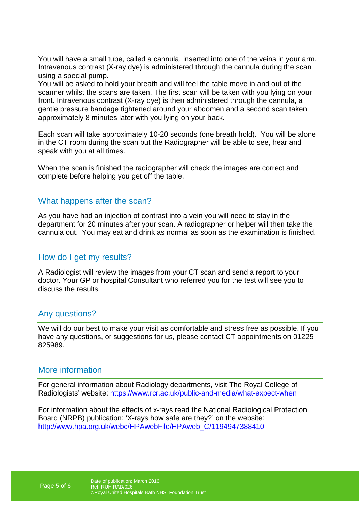You will have a small tube, called a cannula, inserted into one of the veins in your arm. Intravenous contrast (X-ray dye) is administered through the cannula during the scan using a special pump.

You will be asked to hold your breath and will feel the table move in and out of the scanner whilst the scans are taken. The first scan will be taken with you lying on your front. Intravenous contrast (X-ray dye) is then administered through the cannula, a gentle pressure bandage tightened around your abdomen and a second scan taken approximately 8 minutes later with you lying on your back.

Each scan will take approximately 10-20 seconds (one breath hold). You will be alone in the CT room during the scan but the Radiographer will be able to see, hear and speak with you at all times.

When the scan is finished the radiographer will check the images are correct and complete before helping you get off the table.

#### What happens after the scan?

As you have had an injection of contrast into a vein you will need to stay in the department for 20 minutes after your scan. A radiographer or helper will then take the cannula out. You may eat and drink as normal as soon as the examination is finished.

#### How do I get my results?

A Radiologist will review the images from your CT scan and send a report to your doctor. Your GP or hospital Consultant who referred you for the test will see you to discuss the results.

#### Any questions?

We will do our best to make your visit as comfortable and stress free as possible. If you have any questions, or suggestions for us, please contact CT appointments on 01225 825989.

#### More information

For general information about Radiology departments, visit The Royal College of Radiologists' website: https://www.rcr.ac.uk/public-and-media/what-expect-when

For information about the effects of x-rays read the National Radiological Protection Board (NRPB) publication: 'X-rays how safe are they?' on the website: http://www.hpa.org.uk/webc/HPAwebFile/HPAweb\_C/1194947388410